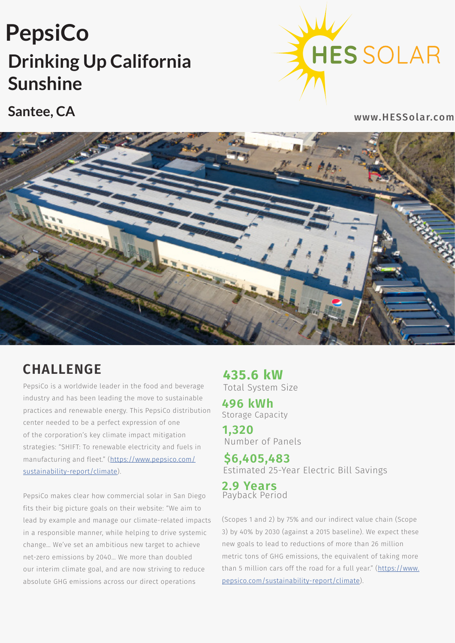## **Drinking Up California Sunshine PepsiCo**



**Santee, CA**

www.HESSolar.com



## **CHALLENGE**

PepsiCo is a worldwide leader in the food and beverage industry and has been leading the move to sustainable practices and renewable energy. This PepsiCo distribution center needed to be a perfect expression of one of the corporation's key climate impact mitigation strategies: "SHIFT: To renewable electricity and fuels in manufacturing and fleet." ([https://www.pepsico.com/](https://www.pepsico.com/sustainability-report/climate) [sustainability-report/climate\)](https://www.pepsico.com/sustainability-report/climate).

PepsiCo makes clear how commercial solar in San Diego fits their big picture goals on their website: "We aim to lead by example and manage our climate-related impacts in a responsible manner, while helping to drive systemic change… We've set an ambitious new target to achieve net-zero emissions by 2040… We more than doubled our interim climate goal, and are now striving to reduce absolute GHG emissions across our direct operations

**435.6 kW** Total System Size

Storage Capacity **496 kWh**

**1,320** Number of Panels

**\$6,405,483** Estimated 25-Year Electric Bill Savings

**2.9 Years** Payback Period

(Scopes 1 and 2) by 75% and our indirect value chain (Scope 3) by 40% by 2030 (against a 2015 baseline). We expect these new goals to lead to reductions of more than 26 million metric tons of GHG emissions, the equivalent of taking more than 5 million cars off the road for a full year." ([https://www.](https://www.pepsico.com/sustainability-report/climate) [pepsico.com/sustainability-report/climate](https://www.pepsico.com/sustainability-report/climate)).